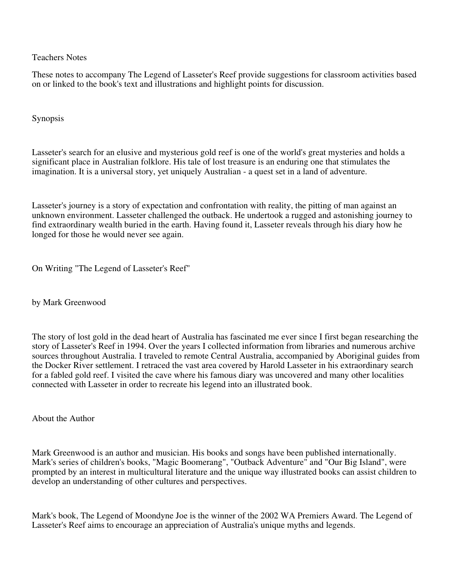Teachers Notes

These notes to accompany The Legend of Lasseter's Reef provide suggestions for classroom activities based on or linked to the book's text and illustrations and highlight points for discussion.

Synopsis

Lasseter's search for an elusive and mysterious gold reef is one of the world's great mysteries and holds a significant place in Australian folklore. His tale of lost treasure is an enduring one that stimulates the imagination. It is a universal story, yet uniquely Australian - a quest set in a land of adventure.

Lasseter's journey is a story of expectation and confrontation with reality, the pitting of man against an unknown environment. Lasseter challenged the outback. He undertook a rugged and astonishing journey to find extraordinary wealth buried in the earth. Having found it, Lasseter reveals through his diary how he longed for those he would never see again.

On Writing "The Legend of Lasseter's Reef"

by Mark Greenwood

The story of lost gold in the dead heart of Australia has fascinated me ever since I first began researching the story of Lasseter's Reef in 1994. Over the years I collected information from libraries and numerous archive sources throughout Australia. I traveled to remote Central Australia, accompanied by Aboriginal guides from the Docker River settlement. I retraced the vast area covered by Harold Lasseter in his extraordinary search for a fabled gold reef. I visited the cave where his famous diary was uncovered and many other localities connected with Lasseter in order to recreate his legend into an illustrated book.

About the Author

Mark Greenwood is an author and musician. His books and songs have been published internationally. Mark's series of children's books, "Magic Boomerang", "Outback Adventure" and "Our Big Island", were prompted by an interest in multicultural literature and the unique way illustrated books can assist children to develop an understanding of other cultures and perspectives.

Mark's book, The Legend of Moondyne Joe is the winner of the 2002 WA Premiers Award. The Legend of Lasseter's Reef aims to encourage an appreciation of Australia's unique myths and legends.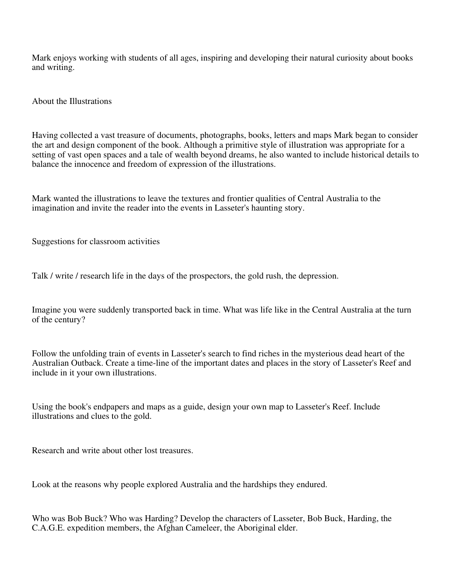Mark enjoys working with students of all ages, inspiring and developing their natural curiosity about books and writing.

About the Illustrations

Having collected a vast treasure of documents, photographs, books, letters and maps Mark began to consider the art and design component of the book. Although a primitive style of illustration was appropriate for a setting of vast open spaces and a tale of wealth beyond dreams, he also wanted to include historical details to balance the innocence and freedom of expression of the illustrations.

Mark wanted the illustrations to leave the textures and frontier qualities of Central Australia to the imagination and invite the reader into the events in Lasseter's haunting story.

Suggestions for classroom activities

Talk / write / research life in the days of the prospectors, the gold rush, the depression.

Imagine you were suddenly transported back in time. What was life like in the Central Australia at the turn of the century?

Follow the unfolding train of events in Lasseter's search to find riches in the mysterious dead heart of the Australian Outback. Create a time-line of the important dates and places in the story of Lasseter's Reef and include in it your own illustrations.

Using the book's endpapers and maps as a guide, design your own map to Lasseter's Reef. Include illustrations and clues to the gold.

Research and write about other lost treasures.

Look at the reasons why people explored Australia and the hardships they endured.

Who was Bob Buck? Who was Harding? Develop the characters of Lasseter, Bob Buck, Harding, the C.A.G.E. expedition members, the Afghan Cameleer, the Aboriginal elder.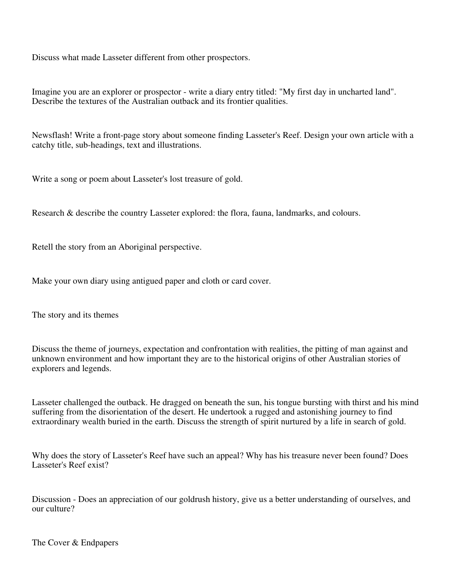Discuss what made Lasseter different from other prospectors.

Imagine you are an explorer or prospector - write a diary entry titled: "My first day in uncharted land". Describe the textures of the Australian outback and its frontier qualities.

Newsflash! Write a front-page story about someone finding Lasseter's Reef. Design your own article with a catchy title, sub-headings, text and illustrations.

Write a song or poem about Lasseter's lost treasure of gold.

Research & describe the country Lasseter explored: the flora, fauna, landmarks, and colours.

Retell the story from an Aboriginal perspective.

Make your own diary using antigued paper and cloth or card cover.

The story and its themes

Discuss the theme of journeys, expectation and confrontation with realities, the pitting of man against and unknown environment and how important they are to the historical origins of other Australian stories of explorers and legends.

Lasseter challenged the outback. He dragged on beneath the sun, his tongue bursting with thirst and his mind suffering from the disorientation of the desert. He undertook a rugged and astonishing journey to find extraordinary wealth buried in the earth. Discuss the strength of spirit nurtured by a life in search of gold.

Why does the story of Lasseter's Reef have such an appeal? Why has his treasure never been found? Does Lasseter's Reef exist?

Discussion - Does an appreciation of our goldrush history, give us a better understanding of ourselves, and our culture?

The Cover & Endpapers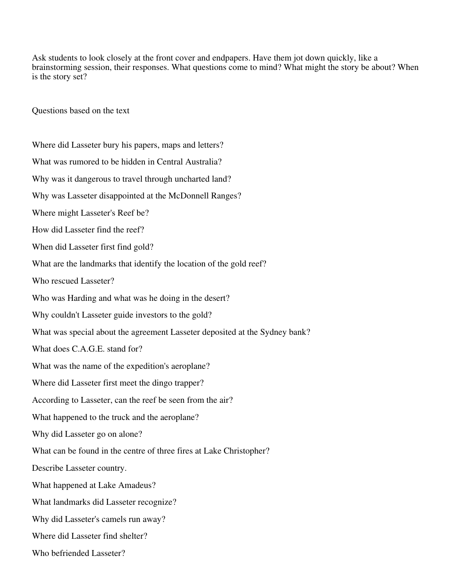Ask students to look closely at the front cover and endpapers. Have them jot down quickly, like a brainstorming session, their responses. What questions come to mind? What might the story be about? When is the story set?

Questions based on the text

Where did Lasseter bury his papers, maps and letters? What was rumored to be hidden in Central Australia? Why was it dangerous to travel through uncharted land? Why was Lasseter disappointed at the McDonnell Ranges? Where might Lasseter's Reef be? How did Lasseter find the reef? When did Lasseter first find gold? What are the landmarks that identify the location of the gold reef? Who rescued Lasseter? Who was Harding and what was he doing in the desert? Why couldn't Lasseter guide investors to the gold? What was special about the agreement Lasseter deposited at the Sydney bank? What does C.A.G.E. stand for? What was the name of the expedition's aeroplane? Where did Lasseter first meet the dingo trapper? According to Lasseter, can the reef be seen from the air? What happened to the truck and the aeroplane? Why did Lasseter go on alone? What can be found in the centre of three fires at Lake Christopher? Describe Lasseter country. What happened at Lake Amadeus? What landmarks did Lasseter recognize? Why did Lasseter's camels run away? Where did Lasseter find shelter? Who befriended Lasseter?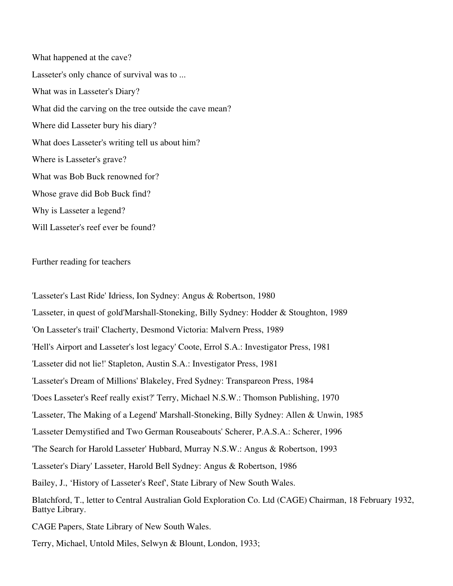What happened at the cave? Lasseter's only chance of survival was to ... What was in Lasseter's Diary? What did the carving on the tree outside the cave mean? Where did Lasseter bury his diary? What does Lasseter's writing tell us about him? Where is Lasseter's grave? What was Bob Buck renowned for? Whose grave did Bob Buck find? Why is Lasseter a legend? Will Lasseter's reef ever be found?

## Further reading for teachers

'Lasseter's Last Ride' Idriess, Ion Sydney: Angus & Robertson, 1980 'Lasseter, in quest of gold'Marshall-Stoneking, Billy Sydney: Hodder & Stoughton, 1989 'On Lasseter's trail' Clacherty, Desmond Victoria: Malvern Press, 1989 'Hell's Airport and Lasseter's lost legacy' Coote, Errol S.A.: Investigator Press, 1981 'Lasseter did not lie!' Stapleton, Austin S.A.: Investigator Press, 1981 'Lasseter's Dream of Millions' Blakeley, Fred Sydney: Transpareon Press, 1984 'Does Lasseter's Reef really exist?' Terry, Michael N.S.W.: Thomson Publishing, 1970 'Lasseter, The Making of a Legend' Marshall-Stoneking, Billy Sydney: Allen & Unwin, 1985 'Lasseter Demystified and Two German Rouseabouts' Scherer, P.A.S.A.: Scherer, 1996 'The Search for Harold Lasseter' Hubbard, Murray N.S.W.: Angus & Robertson, 1993 'Lasseter's Diary' Lasseter, Harold Bell Sydney: Angus & Robertson, 1986 Bailey, J., 'History of Lasseter's Reef', State Library of New South Wales. Blatchford, T., letter to Central Australian Gold Exploration Co. Ltd (CAGE) Chairman, 18 February 1932, Battye Library. CAGE Papers, State Library of New South Wales.

Terry, Michael, Untold Miles, Selwyn & Blount, London, 1933;